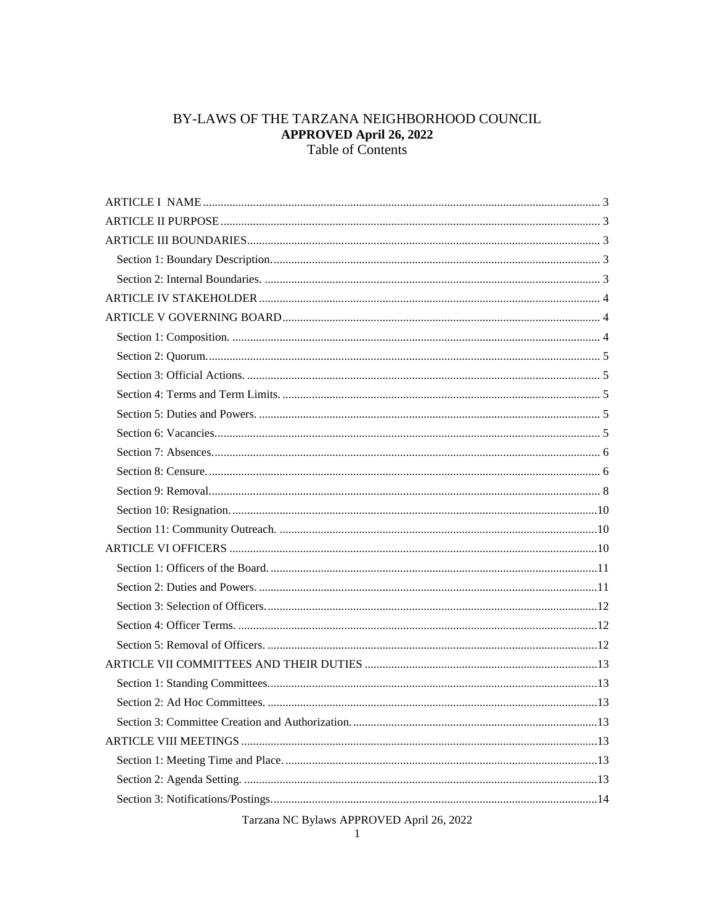# BY-LAWS OF THE TARZANA NEIGHBORHOOD COUNCIL **APPROVED April 26, 2022**<br>Table of Contents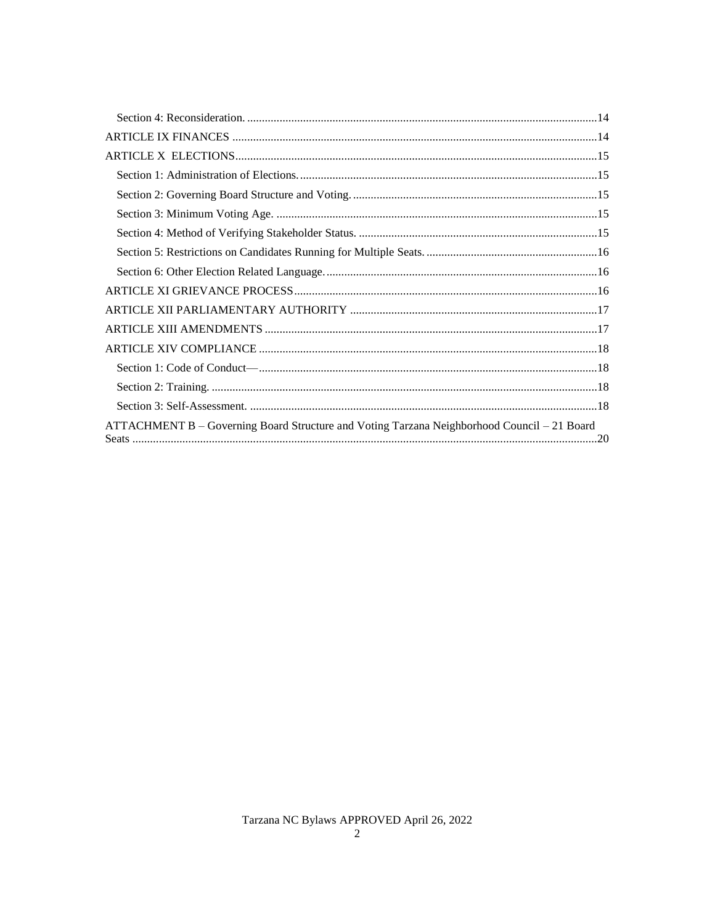| ATTACHMENT B - Governing Board Structure and Voting Tarzana Neighborhood Council - 21 Board |  |
|---------------------------------------------------------------------------------------------|--|
|                                                                                             |  |
|                                                                                             |  |
|                                                                                             |  |
|                                                                                             |  |
|                                                                                             |  |
|                                                                                             |  |
|                                                                                             |  |
|                                                                                             |  |
|                                                                                             |  |
|                                                                                             |  |
|                                                                                             |  |
|                                                                                             |  |
|                                                                                             |  |
|                                                                                             |  |
|                                                                                             |  |
|                                                                                             |  |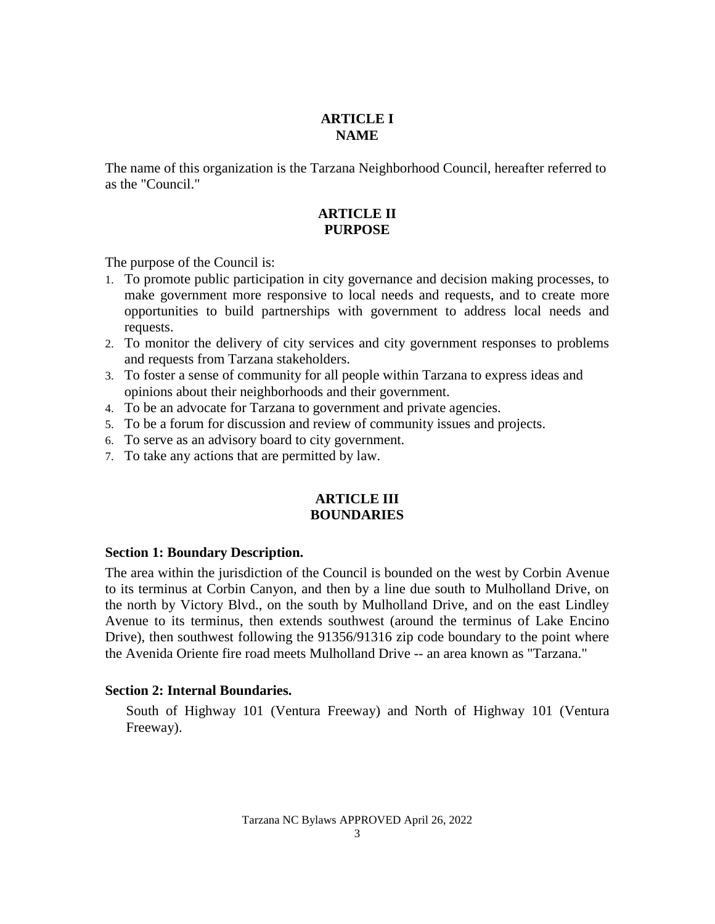## **ARTICLE I NAME**

<span id="page-2-1"></span><span id="page-2-0"></span>The name of this organization is the Tarzana Neighborhood Council, hereafter referred to as the "Council."

## **ARTICLE II PURPOSE**

The purpose of the Council is:

- 1. To promote public participation in city governance and decision making processes, to make government more responsive to local needs and requests, and to create more opportunities to build partnerships with government to address local needs and requests.
- 2. To monitor the delivery of city services and city government responses to problems and requests from Tarzana stakeholders.
- 3. To foster a sense of community for all people within Tarzana to express ideas and opinions about their neighborhoods and their government.
- 4. To be an advocate for Tarzana to government and private agencies.
- 5. To be a forum for discussion and review of community issues and projects.
- 6. To serve as an advisory board to city government.
- <span id="page-2-2"></span>7. To take any actions that are permitted by law.

#### **ARTICLE III BOUNDARIES**

#### <span id="page-2-3"></span>**Section 1: Boundary Description.**

The area within the jurisdiction of the Council is bounded on the west by Corbin Avenue to its terminus at Corbin Canyon, and then by a line due south to Mulholland Drive, on the north by Victory Blvd., on the south by Mulholland Drive, and on the east Lindley Avenue to its terminus, then extends southwest (around the terminus of Lake Encino Drive), then southwest following the 91356/91316 zip code boundary to the point where the Avenida Oriente fire road meets Mulholland Drive -- an area known as "Tarzana."

#### <span id="page-2-4"></span>**Section 2: Internal Boundaries.**

South of Highway 101 (Ventura Freeway) and North of Highway 101 (Ventura Freeway).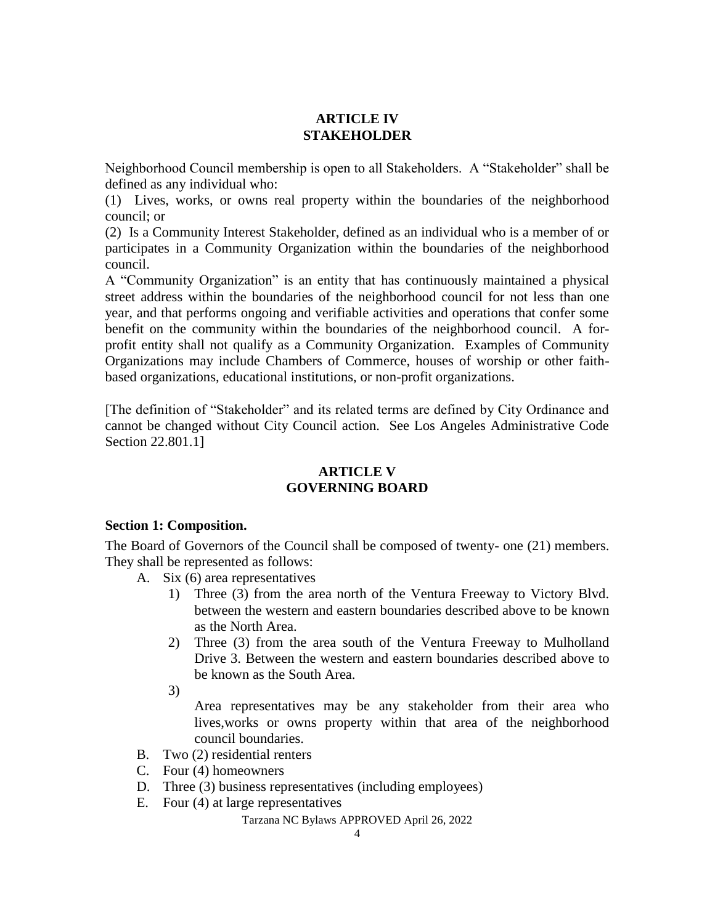## **ARTICLE IV STAKEHOLDER**

<span id="page-3-0"></span>Neighborhood Council membership is open to all Stakeholders. A "Stakeholder" shall be defined as any individual who:

(1) Lives, works, or owns real property within the boundaries of the neighborhood council; or

(2) Is a Community Interest Stakeholder, defined as an individual who is a member of or participates in a Community Organization within the boundaries of the neighborhood council.

A "Community Organization" is an entity that has continuously maintained a physical street address within the boundaries of the neighborhood council for not less than one year, and that performs ongoing and verifiable activities and operations that confer some benefit on the community within the boundaries of the neighborhood council. A forprofit entity shall not qualify as a Community Organization. Examples of Community Organizations may include Chambers of Commerce, houses of worship or other faithbased organizations, educational institutions, or non-profit organizations.

<span id="page-3-1"></span>[The definition of "Stakeholder" and its related terms are defined by City Ordinance and cannot be changed without City Council action. See Los Angeles Administrative Code Section 22.801.1]

## **ARTICLE V GOVERNING BOARD**

## <span id="page-3-2"></span>**Section 1: Composition.**

The Board of Governors of the Council shall be composed of twenty- one (21) members. They shall be represented as follows:

- A. Six (6) area representatives
	- 1) Three (3) from the area north of the Ventura Freeway to Victory Blvd. between the western and eastern boundaries described above to be known as the North Area.
	- 2) Three (3) from the area south of the Ventura Freeway to Mulholland Drive 3. Between the western and eastern boundaries described above to be known as the South Area.
	- 3)

Area representatives may be any stakeholder from their area who lives,works or owns property within that area of the neighborhood council boundaries.

- B. Two  $(2)$  residential renters
- C. Four (4) homeowners
- D. Three (3) business representatives (including employees)
- E. Four (4) at large representatives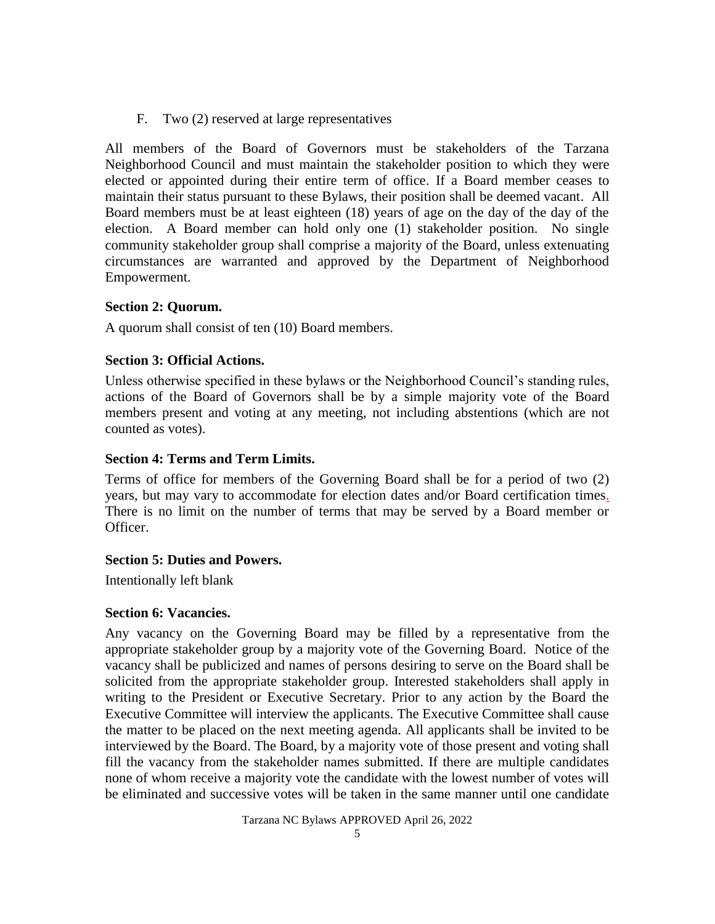F. Two (2) reserved at large representatives

All members of the Board of Governors must be stakeholders of the Tarzana Neighborhood Council and must maintain the stakeholder position to which they were elected or appointed during their entire term of office. If a Board member ceases to maintain their status pursuant to these Bylaws, their position shall be deemed vacant. All Board members must be at least eighteen (18) years of age on the day of the day of the election. A Board member can hold only one (1) stakeholder position. No single community stakeholder group shall comprise a majority of the Board, unless extenuating circumstances are warranted and approved by the Department of Neighborhood Empowerment.

## <span id="page-4-0"></span>**Section 2: Quorum.**

A quorum shall consist of ten (10) Board members.

## <span id="page-4-1"></span>**Section 3: Official Actions.**

Unless otherwise specified in these bylaws or the Neighborhood Council's standing rules, actions of the Board of Governors shall be by a simple majority vote of the Board members present and voting at any meeting, not including abstentions (which are not counted as votes).

## <span id="page-4-2"></span>**Section 4: Terms and Term Limits.**

Terms of office for members of the Governing Board shall be for a period of two (2) years, but may vary to accommodate for election dates and/or Board certification times. There is no limit on the number of terms that may be served by a Board member or Officer.

## <span id="page-4-3"></span>**Section 5: Duties and Powers.**

Intentionally left blank

## <span id="page-4-4"></span>**Section 6: Vacancies.**

Any vacancy on the Governing Board may be filled by a representative from the appropriate stakeholder group by a majority vote of the Governing Board. Notice of the vacancy shall be publicized and names of persons desiring to serve on the Board shall be solicited from the appropriate stakeholder group. Interested stakeholders shall apply in writing to the President or Executive Secretary. Prior to any action by the Board the Executive Committee will interview the applicants. The Executive Committee shall cause the matter to be placed on the next meeting agenda. All applicants shall be invited to be interviewed by the Board. The Board, by a majority vote of those present and voting shall fill the vacancy from the stakeholder names submitted. If there are multiple candidates none of whom receive a majority vote the candidate with the lowest number of votes will be eliminated and successive votes will be taken in the same manner until one candidate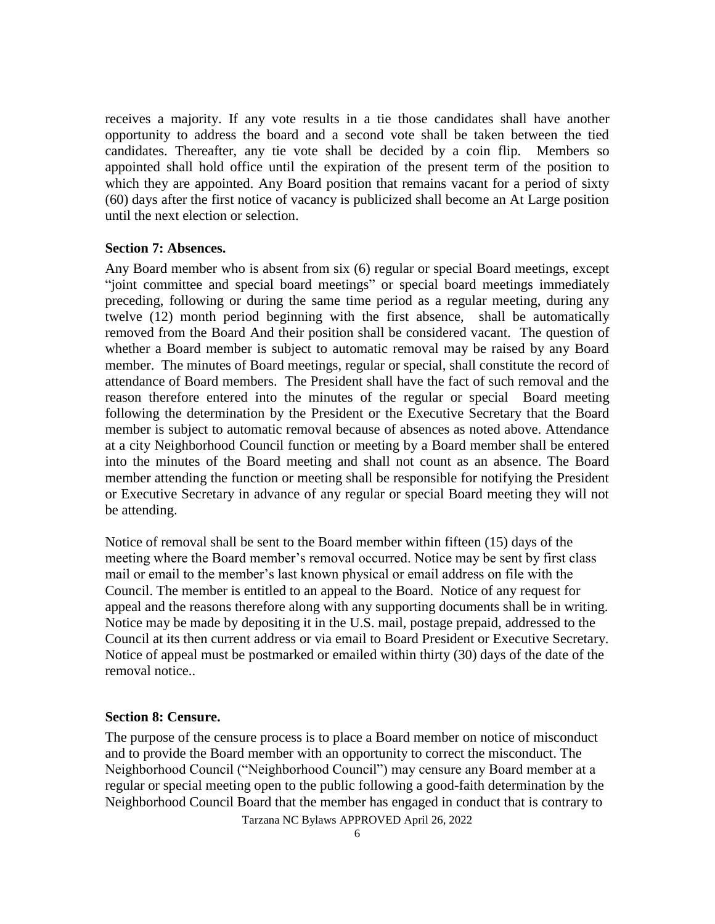receives a majority. If any vote results in a tie those candidates shall have another opportunity to address the board and a second vote shall be taken between the tied candidates. Thereafter, any tie vote shall be decided by a coin flip. Members so appointed shall hold office until the expiration of the present term of the position to which they are appointed. Any Board position that remains vacant for a period of sixty (60) days after the first notice of vacancy is publicized shall become an At Large position until the next election or selection.

#### <span id="page-5-0"></span>**Section 7: Absences.**

Any Board member who is absent from six (6) regular or special Board meetings, except "joint committee and special board meetings" or special board meetings immediately preceding, following or during the same time period as a regular meeting, during any twelve (12) month period beginning with the first absence, shall be automatically removed from the Board And their position shall be considered vacant. The question of whether a Board member is subject to automatic removal may be raised by any Board member. The minutes of Board meetings, regular or special, shall constitute the record of attendance of Board members. The President shall have the fact of such removal and the reason therefore entered into the minutes of the regular or special Board meeting following the determination by the President or the Executive Secretary that the Board member is subject to automatic removal because of absences as noted above. Attendance at a city Neighborhood Council function or meeting by a Board member shall be entered into the minutes of the Board meeting and shall not count as an absence. The Board member attending the function or meeting shall be responsible for notifying the President or Executive Secretary in advance of any regular or special Board meeting they will not be attending.

Notice of removal shall be sent to the Board member within fifteen (15) days of the meeting where the Board member's removal occurred. Notice may be sent by first class mail or email to the member's last known physical or email address on file with the Council. The member is entitled to an appeal to the Board. Notice of any request for appeal and the reasons therefore along with any supporting documents shall be in writing. Notice may be made by depositing it in the U.S. mail, postage prepaid, addressed to the Council at its then current address or via email to Board President or Executive Secretary. Notice of appeal must be postmarked or emailed within thirty (30) days of the date of the removal notice..

#### <span id="page-5-1"></span>**Section 8: Censure.**

Tarzana NC Bylaws APPROVED April 26, 2022 The purpose of the censure process is to place a Board member on notice of misconduct and to provide the Board member with an opportunity to correct the misconduct. The Neighborhood Council ("Neighborhood Council") may censure any Board member at a regular or special meeting open to the public following a good-faith determination by the Neighborhood Council Board that the member has engaged in conduct that is contrary to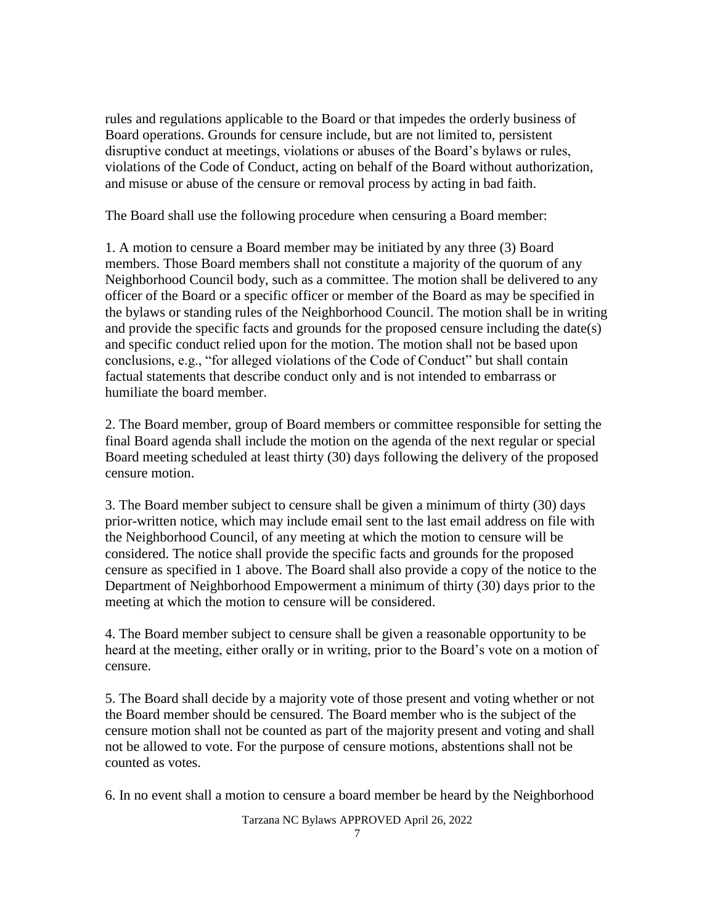rules and regulations applicable to the Board or that impedes the orderly business of Board operations. Grounds for censure include, but are not limited to, persistent disruptive conduct at meetings, violations or abuses of the Board's bylaws or rules, violations of the Code of Conduct, acting on behalf of the Board without authorization, and misuse or abuse of the censure or removal process by acting in bad faith.

The Board shall use the following procedure when censuring a Board member:

1. A motion to censure a Board member may be initiated by any three (3) Board members. Those Board members shall not constitute a majority of the quorum of any Neighborhood Council body, such as a committee. The motion shall be delivered to any officer of the Board or a specific officer or member of the Board as may be specified in the bylaws or standing rules of the Neighborhood Council. The motion shall be in writing and provide the specific facts and grounds for the proposed censure including the date(s) and specific conduct relied upon for the motion. The motion shall not be based upon conclusions, e.g., "for alleged violations of the Code of Conduct" but shall contain factual statements that describe conduct only and is not intended to embarrass or humiliate the board member.

2. The Board member, group of Board members or committee responsible for setting the final Board agenda shall include the motion on the agenda of the next regular or special Board meeting scheduled at least thirty (30) days following the delivery of the proposed censure motion.

3. The Board member subject to censure shall be given a minimum of thirty (30) days prior-written notice, which may include email sent to the last email address on file with the Neighborhood Council, of any meeting at which the motion to censure will be considered. The notice shall provide the specific facts and grounds for the proposed censure as specified in 1 above. The Board shall also provide a copy of the notice to the Department of Neighborhood Empowerment a minimum of thirty (30) days prior to the meeting at which the motion to censure will be considered.

4. The Board member subject to censure shall be given a reasonable opportunity to be heard at the meeting, either orally or in writing, prior to the Board's vote on a motion of censure.

5. The Board shall decide by a majority vote of those present and voting whether or not the Board member should be censured. The Board member who is the subject of the censure motion shall not be counted as part of the majority present and voting and shall not be allowed to vote. For the purpose of censure motions, abstentions shall not be counted as votes.

6. In no event shall a motion to censure a board member be heard by the Neighborhood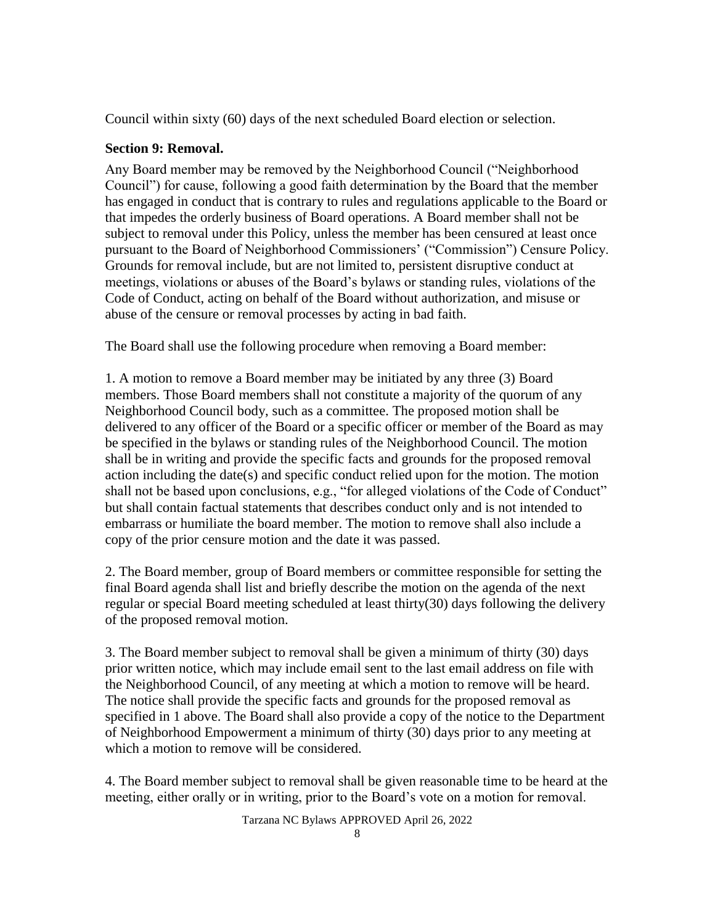Council within sixty (60) days of the next scheduled Board election or selection.

## <span id="page-7-0"></span>**Section 9: Removal.**

Any Board member may be removed by the Neighborhood Council ("Neighborhood" Council‖) for cause, following a good faith determination by the Board that the member has engaged in conduct that is contrary to rules and regulations applicable to the Board or that impedes the orderly business of Board operations. A Board member shall not be subject to removal under this Policy, unless the member has been censured at least once pursuant to the Board of Neighborhood Commissioners' ("Commission") Censure Policy. Grounds for removal include, but are not limited to, persistent disruptive conduct at meetings, violations or abuses of the Board's bylaws or standing rules, violations of the Code of Conduct, acting on behalf of the Board without authorization, and misuse or abuse of the censure or removal processes by acting in bad faith.

The Board shall use the following procedure when removing a Board member:

1. A motion to remove a Board member may be initiated by any three (3) Board members. Those Board members shall not constitute a majority of the quorum of any Neighborhood Council body, such as a committee. The proposed motion shall be delivered to any officer of the Board or a specific officer or member of the Board as may be specified in the bylaws or standing rules of the Neighborhood Council. The motion shall be in writing and provide the specific facts and grounds for the proposed removal action including the date(s) and specific conduct relied upon for the motion. The motion shall not be based upon conclusions, e.g., "for alleged violations of the Code of Conduct" but shall contain factual statements that describes conduct only and is not intended to embarrass or humiliate the board member. The motion to remove shall also include a copy of the prior censure motion and the date it was passed.

2. The Board member, group of Board members or committee responsible for setting the final Board agenda shall list and briefly describe the motion on the agenda of the next regular or special Board meeting scheduled at least thirty(30) days following the delivery of the proposed removal motion.

3. The Board member subject to removal shall be given a minimum of thirty (30) days prior written notice, which may include email sent to the last email address on file with the Neighborhood Council, of any meeting at which a motion to remove will be heard. The notice shall provide the specific facts and grounds for the proposed removal as specified in 1 above. The Board shall also provide a copy of the notice to the Department of Neighborhood Empowerment a minimum of thirty (30) days prior to any meeting at which a motion to remove will be considered.

4. The Board member subject to removal shall be given reasonable time to be heard at the meeting, either orally or in writing, prior to the Board's vote on a motion for removal.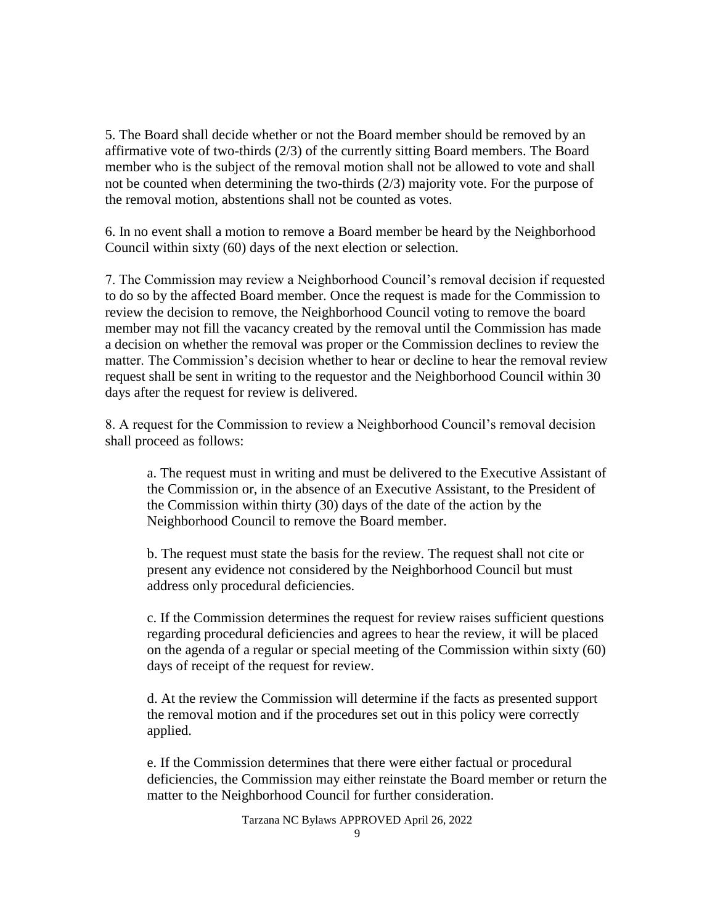5. The Board shall decide whether or not the Board member should be removed by an affirmative vote of two-thirds (2/3) of the currently sitting Board members. The Board member who is the subject of the removal motion shall not be allowed to vote and shall not be counted when determining the two-thirds (2/3) majority vote. For the purpose of the removal motion, abstentions shall not be counted as votes.

6. In no event shall a motion to remove a Board member be heard by the Neighborhood Council within sixty (60) days of the next election or selection.

7. The Commission may review a Neighborhood Council's removal decision if requested to do so by the affected Board member. Once the request is made for the Commission to review the decision to remove, the Neighborhood Council voting to remove the board member may not fill the vacancy created by the removal until the Commission has made a decision on whether the removal was proper or the Commission declines to review the matter. The Commission's decision whether to hear or decline to hear the removal review request shall be sent in writing to the requestor and the Neighborhood Council within 30 days after the request for review is delivered.

8. A request for the Commission to review a Neighborhood Council's removal decision shall proceed as follows:

a. The request must in writing and must be delivered to the Executive Assistant of the Commission or, in the absence of an Executive Assistant, to the President of the Commission within thirty (30) days of the date of the action by the Neighborhood Council to remove the Board member.

b. The request must state the basis for the review. The request shall not cite or present any evidence not considered by the Neighborhood Council but must address only procedural deficiencies.

c. If the Commission determines the request for review raises sufficient questions regarding procedural deficiencies and agrees to hear the review, it will be placed on the agenda of a regular or special meeting of the Commission within sixty (60) days of receipt of the request for review.

d. At the review the Commission will determine if the facts as presented support the removal motion and if the procedures set out in this policy were correctly applied.

e. If the Commission determines that there were either factual or procedural deficiencies, the Commission may either reinstate the Board member or return the matter to the Neighborhood Council for further consideration.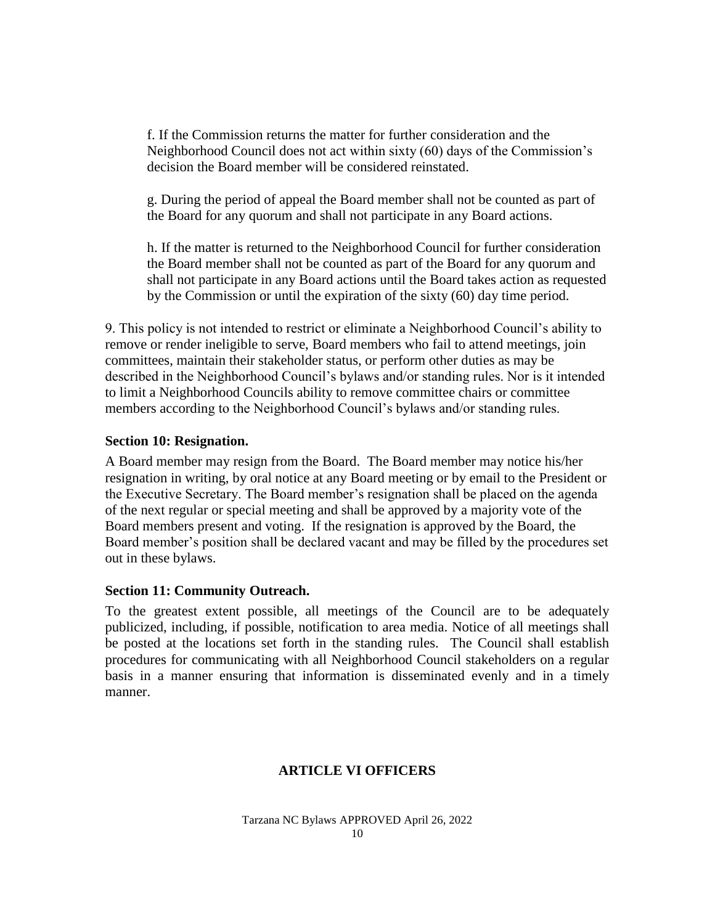f. If the Commission returns the matter for further consideration and the Neighborhood Council does not act within sixty (60) days of the Commission's decision the Board member will be considered reinstated.

g. During the period of appeal the Board member shall not be counted as part of the Board for any quorum and shall not participate in any Board actions.

h. If the matter is returned to the Neighborhood Council for further consideration the Board member shall not be counted as part of the Board for any quorum and shall not participate in any Board actions until the Board takes action as requested by the Commission or until the expiration of the sixty (60) day time period.

9. This policy is not intended to restrict or eliminate a Neighborhood Council's ability to remove or render ineligible to serve, Board members who fail to attend meetings, join committees, maintain their stakeholder status, or perform other duties as may be described in the Neighborhood Council's bylaws and/or standing rules. Nor is it intended to limit a Neighborhood Councils ability to remove committee chairs or committee members according to the Neighborhood Council's bylaws and/or standing rules.

#### <span id="page-9-0"></span>**Section 10: Resignation.**

A Board member may resign from the Board. The Board member may notice his/her resignation in writing, by oral notice at any Board meeting or by email to the President or the Executive Secretary. The Board member's resignation shall be placed on the agenda of the next regular or special meeting and shall be approved by a majority vote of the Board members present and voting. If the resignation is approved by the Board, the Board member's position shall be declared vacant and may be filled by the procedures set out in these bylaws.

## <span id="page-9-1"></span>**Section 11: Community Outreach.**

<span id="page-9-2"></span>To the greatest extent possible, all meetings of the Council are to be adequately publicized, including, if possible, notification to area media. Notice of all meetings shall be posted at the locations set forth in the standing rules. The Council shall establish procedures for communicating with all Neighborhood Council stakeholders on a regular basis in a manner ensuring that information is disseminated evenly and in a timely manner.

## **ARTICLE VI OFFICERS**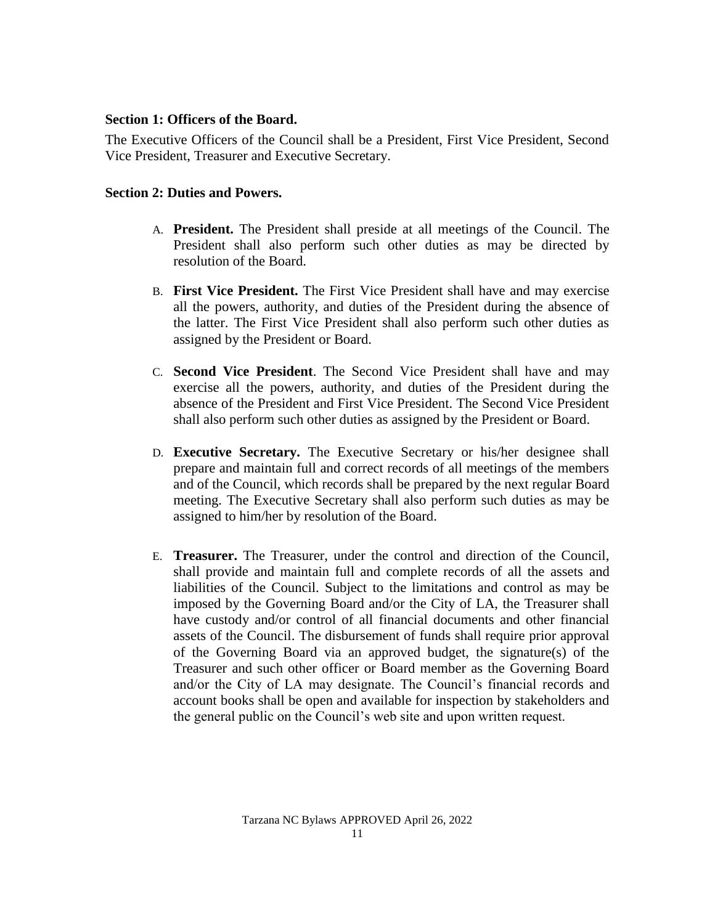#### <span id="page-10-0"></span>**Section 1: Officers of the Board.**

The Executive Officers of the Council shall be a President, First Vice President, Second Vice President, Treasurer and Executive Secretary.

## <span id="page-10-1"></span>**Section 2: Duties and Powers.**

- A. **President.** The President shall preside at all meetings of the Council. The President shall also perform such other duties as may be directed by resolution of the Board.
- B. **First Vice President.** The First Vice President shall have and may exercise all the powers, authority, and duties of the President during the absence of the latter. The First Vice President shall also perform such other duties as assigned by the President or Board.
- C. **Second Vice President**. The Second Vice President shall have and may exercise all the powers, authority, and duties of the President during the absence of the President and First Vice President. The Second Vice President shall also perform such other duties as assigned by the President or Board.
- D. **Executive Secretary.** The Executive Secretary or his/her designee shall prepare and maintain full and correct records of all meetings of the members and of the Council, which records shall be prepared by the next regular Board meeting. The Executive Secretary shall also perform such duties as may be assigned to him/her by resolution of the Board.
- E. **Treasurer.** The Treasurer, under the control and direction of the Council, shall provide and maintain full and complete records of all the assets and liabilities of the Council. Subject to the limitations and control as may be imposed by the Governing Board and/or the City of LA, the Treasurer shall have custody and/or control of all financial documents and other financial assets of the Council. The disbursement of funds shall require prior approval of the Governing Board via an approved budget, the signature(s) of the Treasurer and such other officer or Board member as the Governing Board and/or the City of LA may designate. The Council's financial records and account books shall be open and available for inspection by stakeholders and the general public on the Council's web site and upon written request.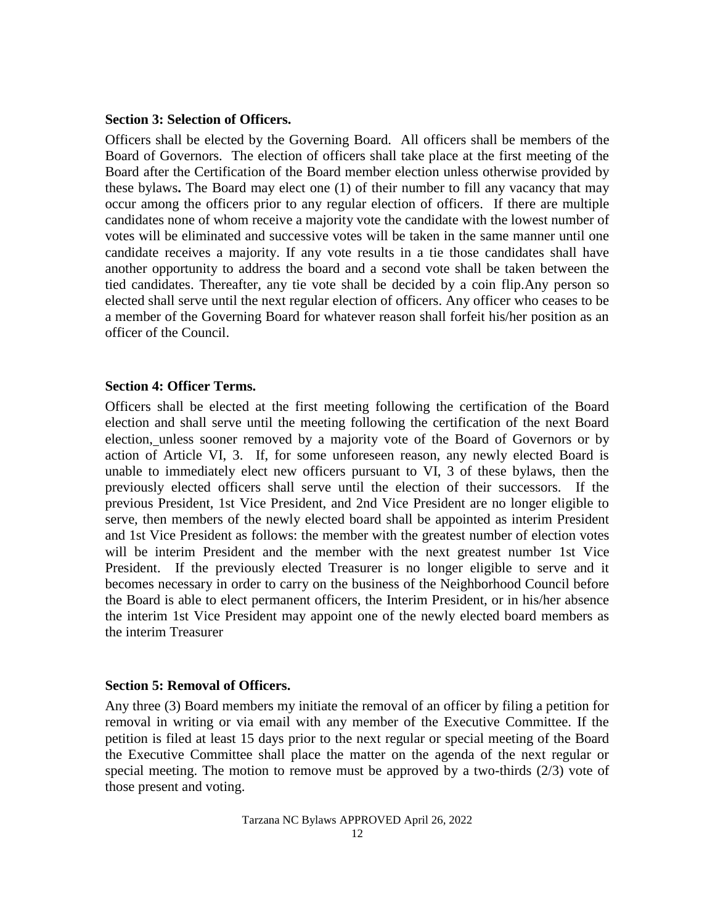#### <span id="page-11-0"></span>**Section 3: Selection of Officers.**

Officers shall be elected by the Governing Board. All officers shall be members of the Board of Governors. The election of officers shall take place at the first meeting of the Board after the Certification of the Board member election unless otherwise provided by these bylaws**.** The Board may elect one (1) of their number to fill any vacancy that may occur among the officers prior to any regular election of officers. If there are multiple candidates none of whom receive a majority vote the candidate with the lowest number of votes will be eliminated and successive votes will be taken in the same manner until one candidate receives a majority. If any vote results in a tie those candidates shall have another opportunity to address the board and a second vote shall be taken between the tied candidates. Thereafter, any tie vote shall be decided by a coin flip.Any person so elected shall serve until the next regular election of officers. Any officer who ceases to be a member of the Governing Board for whatever reason shall forfeit his/her position as an officer of the Council.

#### <span id="page-11-1"></span>**Section 4: Officer Terms.**

Officers shall be elected at the first meeting following the certification of the Board election and shall serve until the meeting following the certification of the next Board election, unless sooner removed by a majority vote of the Board of Governors or by action of Article VI, 3. If, for some unforeseen reason, any newly elected Board is unable to immediately elect new officers pursuant to VI, 3 of these bylaws, then the previously elected officers shall serve until the election of their successors. If the previous President, 1st Vice President, and 2nd Vice President are no longer eligible to serve, then members of the newly elected board shall be appointed as interim President and 1st Vice President as follows: the member with the greatest number of election votes will be interim President and the member with the next greatest number 1st Vice President. If the previously elected Treasurer is no longer eligible to serve and it becomes necessary in order to carry on the business of the Neighborhood Council before the Board is able to elect permanent officers, the Interim President, or in his/her absence the interim 1st Vice President may appoint one of the newly elected board members as the interim Treasurer

#### <span id="page-11-2"></span>**Section 5: Removal of Officers.**

Any three (3) Board members my initiate the removal of an officer by filing a petition for removal in writing or via email with any member of the Executive Committee. If the petition is filed at least 15 days prior to the next regular or special meeting of the Board the Executive Committee shall place the matter on the agenda of the next regular or special meeting. The motion to remove must be approved by a two-thirds  $(2/3)$  vote of those present and voting.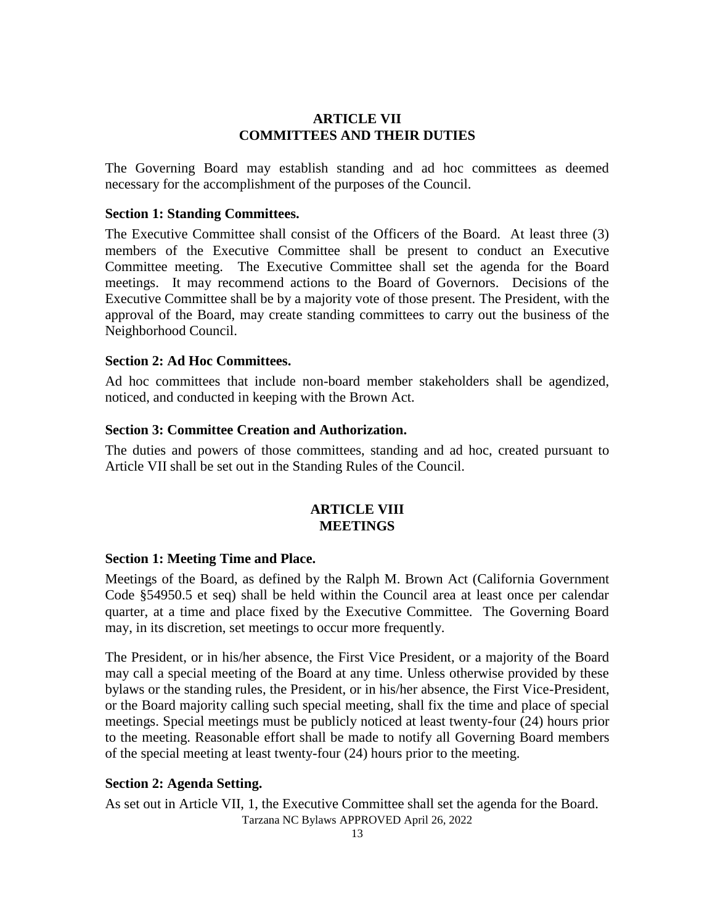## **ARTICLE VII COMMITTEES AND THEIR DUTIES**

<span id="page-12-0"></span>The Governing Board may establish standing and ad hoc committees as deemed necessary for the accomplishment of the purposes of the Council.

## <span id="page-12-1"></span>**Section 1: Standing Committees.**

The Executive Committee shall consist of the Officers of the Board. At least three (3) members of the Executive Committee shall be present to conduct an Executive Committee meeting. The Executive Committee shall set the agenda for the Board meetings. It may recommend actions to the Board of Governors. Decisions of the Executive Committee shall be by a majority vote of those present. The President, with the approval of the Board, may create standing committees to carry out the business of the Neighborhood Council.

#### <span id="page-12-2"></span>**Section 2: Ad Hoc Committees.**

Ad hoc committees that include non-board member stakeholders shall be agendized, noticed, and conducted in keeping with the Brown Act.

## <span id="page-12-3"></span>**Section 3: Committee Creation and Authorization.**

The duties and powers of those committees, standing and ad hoc, created pursuant to Article VII shall be set out in the Standing Rules of the Council.

## **ARTICLE VIII MEETINGS**

#### <span id="page-12-5"></span><span id="page-12-4"></span>**Section 1: Meeting Time and Place.**

Meetings of the Board, as defined by the Ralph M. Brown Act (California Government Code §54950.5 et seq) shall be held within the Council area at least once per calendar quarter, at a time and place fixed by the Executive Committee. The Governing Board may, in its discretion, set meetings to occur more frequently.

The President, or in his/her absence, the First Vice President, or a majority of the Board may call a special meeting of the Board at any time. Unless otherwise provided by these bylaws or the standing rules, the President, or in his/her absence, the First Vice-President, or the Board majority calling such special meeting, shall fix the time and place of special meetings. Special meetings must be publicly noticed at least twenty-four (24) hours prior to the meeting. Reasonable effort shall be made to notify all Governing Board members of the special meeting at least twenty-four (24) hours prior to the meeting.

## <span id="page-12-6"></span>**Section 2: Agenda Setting.**

Tarzana NC Bylaws APPROVED April 26, 2022 As set out in Article VII, 1, the Executive Committee shall set the agenda for the Board.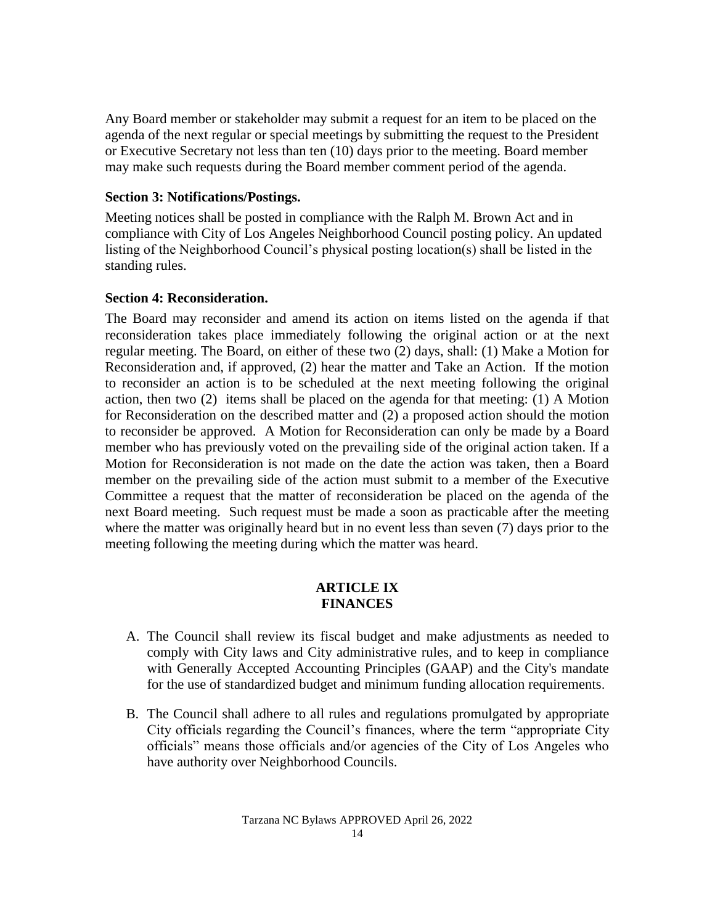Any Board member or stakeholder may submit a request for an item to be placed on the agenda of the next regular or special meetings by submitting the request to the President or Executive Secretary not less than ten (10) days prior to the meeting. Board member may make such requests during the Board member comment period of the agenda.

## <span id="page-13-0"></span>**Section 3: Notifications/Postings.**

Meeting notices shall be posted in compliance with the Ralph M. Brown Act and in compliance with City of Los Angeles Neighborhood Council posting policy. An updated listing of the Neighborhood Council's physical posting location(s) shall be listed in the standing rules.

### <span id="page-13-1"></span>**Section 4: Reconsideration.**

The Board may reconsider and amend its action on items listed on the agenda if that reconsideration takes place immediately following the original action or at the next regular meeting. The Board, on either of these two (2) days, shall: (1) Make a Motion for Reconsideration and, if approved, (2) hear the matter and Take an Action. If the motion to reconsider an action is to be scheduled at the next meeting following the original action, then two (2) items shall be placed on the agenda for that meeting: (1) A Motion for Reconsideration on the described matter and (2) a proposed action should the motion to reconsider be approved. A Motion for Reconsideration can only be made by a Board member who has previously voted on the prevailing side of the original action taken. If a Motion for Reconsideration is not made on the date the action was taken, then a Board member on the prevailing side of the action must submit to a member of the Executive Committee a request that the matter of reconsideration be placed on the agenda of the next Board meeting. Such request must be made a soon as practicable after the meeting where the matter was originally heard but in no event less than seven (7) days prior to the meeting following the meeting during which the matter was heard.

#### **ARTICLE IX FINANCES**

- <span id="page-13-2"></span>A. The Council shall review its fiscal budget and make adjustments as needed to comply with City laws and City administrative rules, and to keep in compliance with Generally Accepted Accounting Principles (GAAP) and the City's mandate for the use of standardized budget and minimum funding allocation requirements.
- B. The Council shall adhere to all rules and regulations promulgated by appropriate City officials regarding the Council's finances, where the term "appropriate City" officials" means those officials and/or agencies of the City of Los Angeles who have authority over Neighborhood Councils.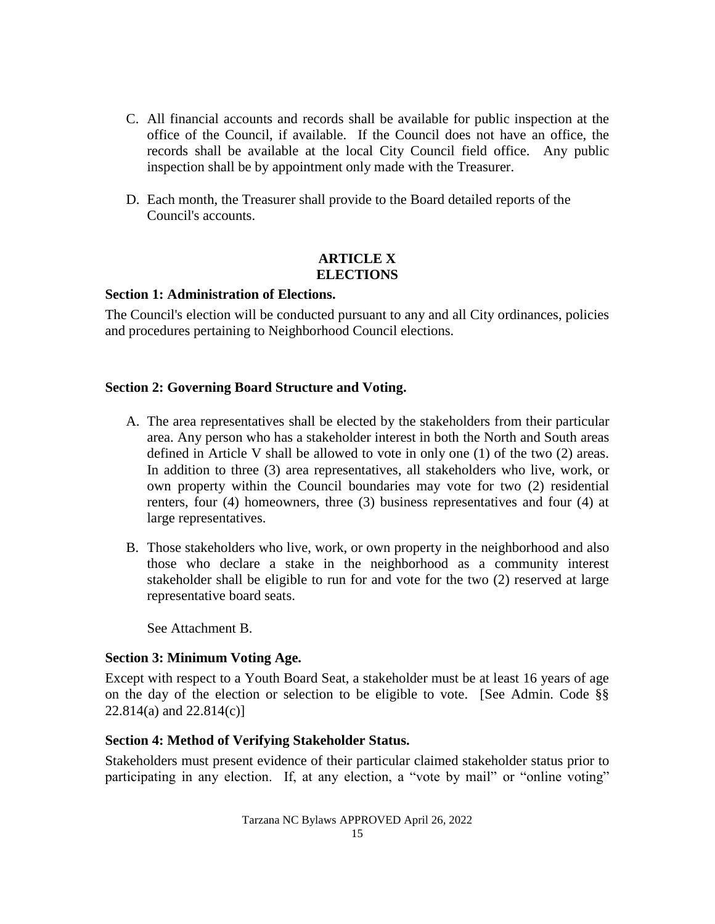- C. All financial accounts and records shall be available for public inspection at the office of the Council, if available. If the Council does not have an office, the records shall be available at the local City Council field office. Any public inspection shall be by appointment only made with the Treasurer.
- D. Each month, the Treasurer shall provide to the Board detailed reports of the Council's accounts.

## **ARTICLE X ELECTIONS**

## <span id="page-14-1"></span><span id="page-14-0"></span>**Section 1: Administration of Elections.**

The Council's election will be conducted pursuant to any and all City ordinances, policies and procedures pertaining to Neighborhood Council elections.

## <span id="page-14-2"></span>**Section 2: Governing Board Structure and Voting.**

- A. The area representatives shall be elected by the stakeholders from their particular area. Any person who has a stakeholder interest in both the North and South areas defined in Article V shall be allowed to vote in only one (1) of the two (2) areas. In addition to three (3) area representatives, all stakeholders who live, work, or own property within the Council boundaries may vote for two (2) residential renters, four (4) homeowners, three (3) business representatives and four (4) at large representatives.
- B. Those stakeholders who live, work, or own property in the neighborhood and also those who declare a stake in the neighborhood as a community interest stakeholder shall be eligible to run for and vote for the two (2) reserved at large representative board seats.

See Attachment B.

## <span id="page-14-3"></span>**Section 3: Minimum Voting Age.**

Except with respect to a Youth Board Seat, a stakeholder must be at least 16 years of age on the day of the election or selection to be eligible to vote. [See Admin. Code §§  $22.814(a)$  and  $22.814(c)$ ]

## <span id="page-14-4"></span>**Section 4: Method of Verifying Stakeholder Status.**

Stakeholders must present evidence of their particular claimed stakeholder status prior to participating in any election. If, at any election, a "vote by mail" or "online voting"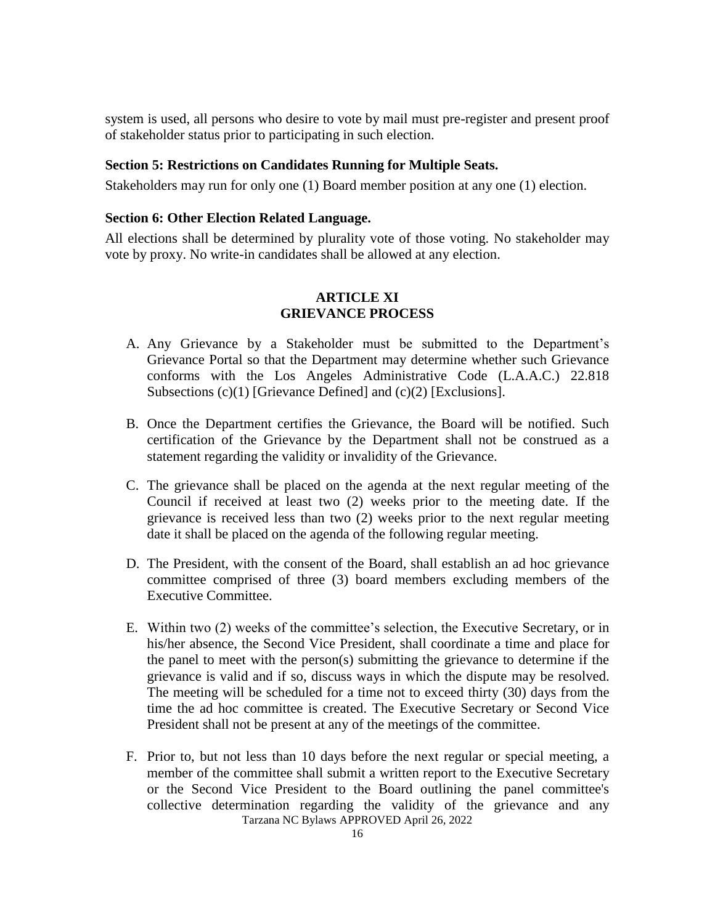system is used, all persons who desire to vote by mail must pre-register and present proof of stakeholder status prior to participating in such election.

#### <span id="page-15-0"></span>**Section 5: Restrictions on Candidates Running for Multiple Seats.**

Stakeholders may run for only one (1) Board member position at any one (1) election.

## <span id="page-15-1"></span>**Section 6: Other Election Related Language.**

All elections shall be determined by plurality vote of those voting. No stakeholder may vote by proxy. No write-in candidates shall be allowed at any election.

## **ARTICLE XI GRIEVANCE PROCESS**

- <span id="page-15-2"></span>A. Any Grievance by a Stakeholder must be submitted to the Department's Grievance Portal so that the Department may determine whether such Grievance conforms with the Los Angeles Administrative Code (L.A.A.C.) 22.818 Subsections (c)(1) [Grievance Defined] and (c)(2) [Exclusions].
- B. Once the Department certifies the Grievance, the Board will be notified. Such certification of the Grievance by the Department shall not be construed as a statement regarding the validity or invalidity of the Grievance.
- C. The grievance shall be placed on the agenda at the next regular meeting of the Council if received at least two (2) weeks prior to the meeting date. If the grievance is received less than two (2) weeks prior to the next regular meeting date it shall be placed on the agenda of the following regular meeting.
- D. The President, with the consent of the Board, shall establish an ad hoc grievance committee comprised of three (3) board members excluding members of the Executive Committee.
- E. Within two (2) weeks of the committee's selection, the Executive Secretary, or in his/her absence, the Second Vice President, shall coordinate a time and place for the panel to meet with the person(s) submitting the grievance to determine if the grievance is valid and if so, discuss ways in which the dispute may be resolved. The meeting will be scheduled for a time not to exceed thirty (30) days from the time the ad hoc committee is created. The Executive Secretary or Second Vice President shall not be present at any of the meetings of the committee.
- Tarzana NC Bylaws APPROVED April 26, 2022 F. Prior to, but not less than 10 days before the next regular or special meeting, a member of the committee shall submit a written report to the Executive Secretary or the Second Vice President to the Board outlining the panel committee's collective determination regarding the validity of the grievance and any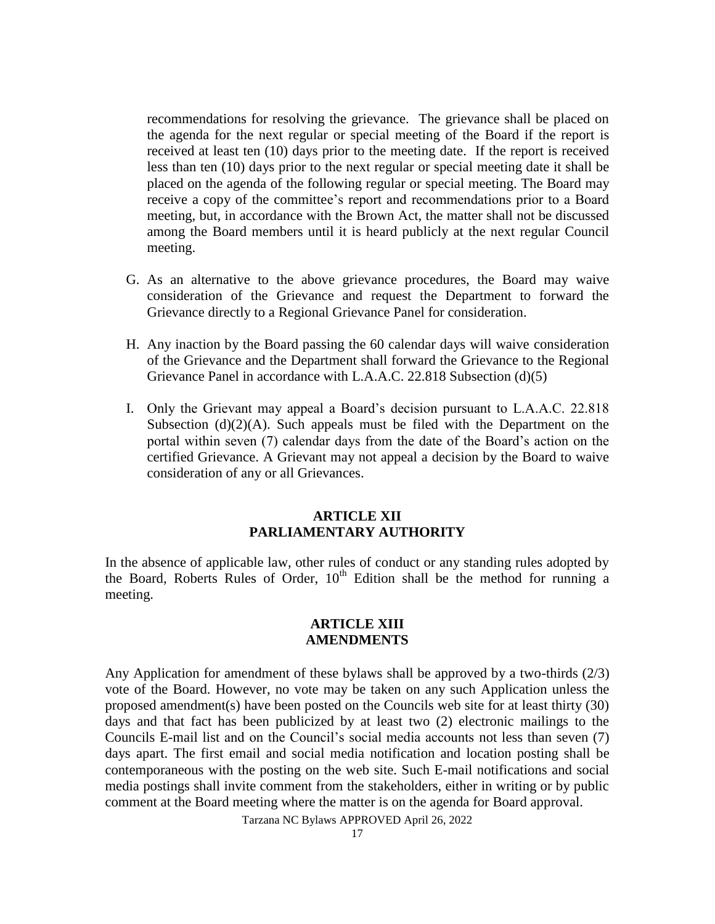recommendations for resolving the grievance. The grievance shall be placed on the agenda for the next regular or special meeting of the Board if the report is received at least ten (10) days prior to the meeting date. If the report is received less than ten (10) days prior to the next regular or special meeting date it shall be placed on the agenda of the following regular or special meeting. The Board may receive a copy of the committee's report and recommendations prior to a Board meeting, but, in accordance with the Brown Act, the matter shall not be discussed among the Board members until it is heard publicly at the next regular Council meeting.

- G. As an alternative to the above grievance procedures, the Board may waive consideration of the Grievance and request the Department to forward the Grievance directly to a Regional Grievance Panel for consideration.
- H. Any inaction by the Board passing the 60 calendar days will waive consideration of the Grievance and the Department shall forward the Grievance to the Regional Grievance Panel in accordance with L.A.A.C. 22.818 Subsection (d)(5)
- I. Only the Grievant may appeal a Board's decision pursuant to L.A.A.C. 22.818 Subsection  $(d)(2)(A)$ . Such appeals must be filed with the Department on the portal within seven (7) calendar days from the date of the Board's action on the certified Grievance. A Grievant may not appeal a decision by the Board to waive consideration of any or all Grievances.

## **ARTICLE XII PARLIAMENTARY AUTHORITY**

<span id="page-16-0"></span>In the absence of applicable law, other rules of conduct or any standing rules adopted by the Board, Roberts Rules of Order, 10<sup>th</sup> Edition shall be the method for running a meeting.

#### **ARTICLE XIII AMENDMENTS**

<span id="page-16-1"></span>Any Application for amendment of these bylaws shall be approved by a two-thirds (2/3) vote of the Board. However, no vote may be taken on any such Application unless the proposed amendment(s) have been posted on the Councils web site for at least thirty (30) days and that fact has been publicized by at least two (2) electronic mailings to the Councils E-mail list and on the Council's social media accounts not less than seven (7) days apart. The first email and social media notification and location posting shall be contemporaneous with the posting on the web site. Such E-mail notifications and social media postings shall invite comment from the stakeholders, either in writing or by public comment at the Board meeting where the matter is on the agenda for Board approval.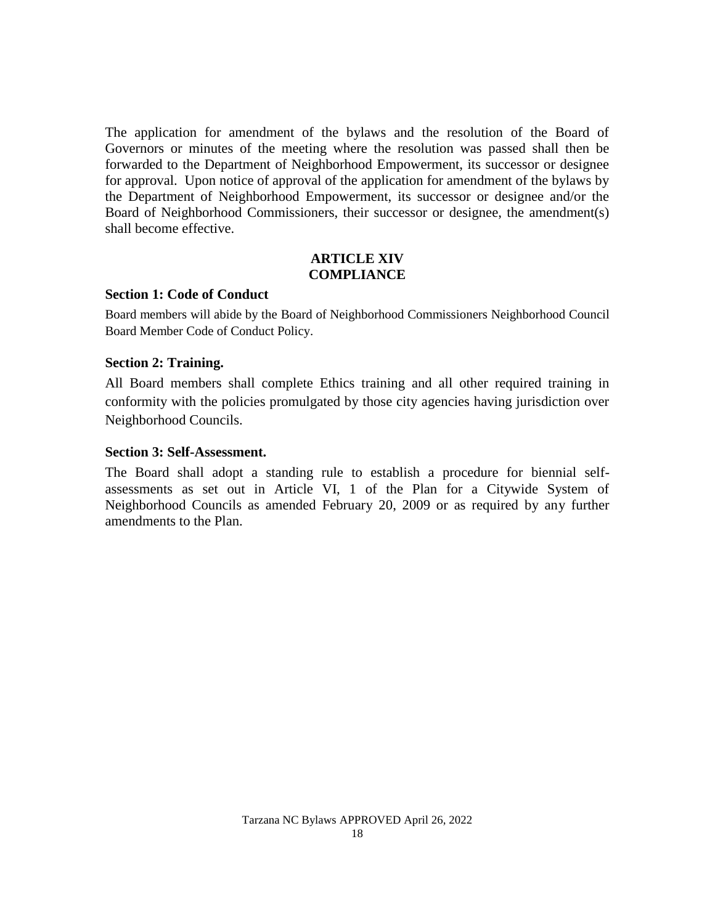The application for amendment of the bylaws and the resolution of the Board of Governors or minutes of the meeting where the resolution was passed shall then be forwarded to the Department of Neighborhood Empowerment, its successor or designee for approval. Upon notice of approval of the application for amendment of the bylaws by the Department of Neighborhood Empowerment, its successor or designee and/or the Board of Neighborhood Commissioners, their successor or designee, the amendment(s) shall become effective.

#### **ARTICLE XIV COMPLIANCE**

#### <span id="page-17-1"></span><span id="page-17-0"></span>**Section 1: Code of Conduct**

Board members will abide by the Board of Neighborhood Commissioners Neighborhood Council Board Member Code of Conduct Policy.

## <span id="page-17-2"></span>**Section 2: Training.**

All Board members shall complete Ethics training and all other required training in conformity with the policies promulgated by those city agencies having jurisdiction over Neighborhood Councils.

#### <span id="page-17-3"></span>**Section 3: Self-Assessment.**

The Board shall adopt a standing rule to establish a procedure for biennial selfassessments as set out in Article VI, 1 of the Plan for a Citywide System of Neighborhood Councils as amended February 20, 2009 or as required by any further amendments to the Plan.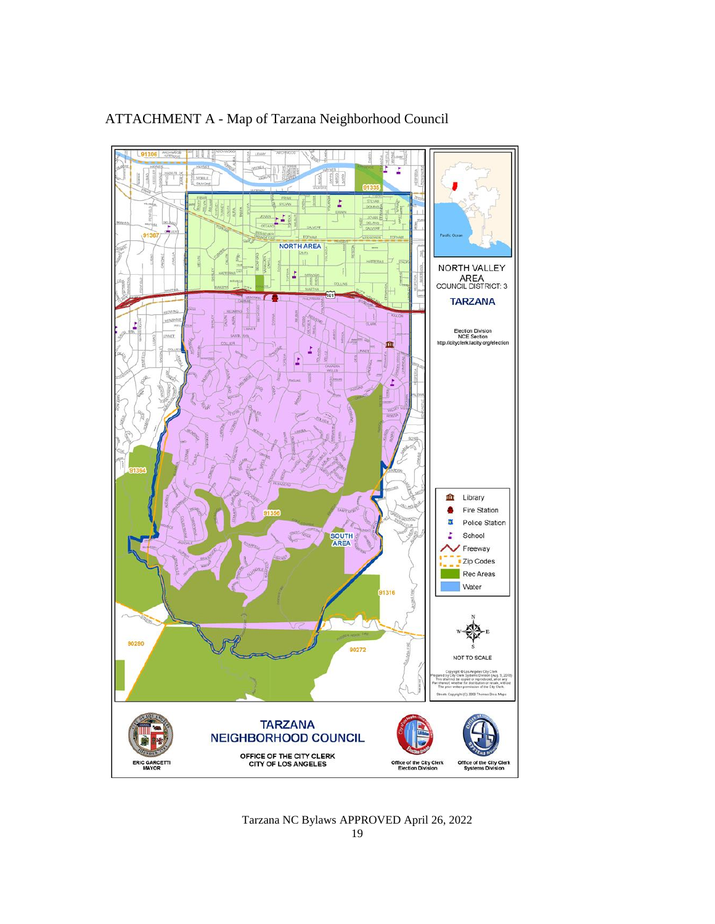

# ATTACHMENT A - Map of Tarzana Neighborhood Council